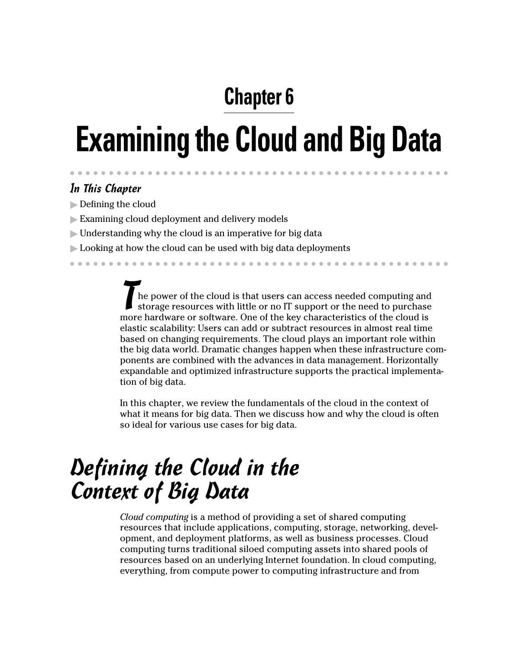## **Chapter 6**

# **Examining the Cloud and Big Data**

#### In This Chapter

- ▶ Defining the cloud
- ▶ Examining cloud deployment and delivery models
- ▶ Understanding why the cloud is an imperative for big data
- ▶ Looking at how the cloud can be used with big data deployments

. . . . . . . . .

The power of the cloud is that users can access needed computing and storage resources with little or no IT support or the need to purchase more hardware or software. One of the key characteristics of the cloud is elastic scalability: Users can add or subtract resources in almost real time based on changing requirements. The cloud plays an important role within the big data world. Dramatic changes happen when these infrastructure components are combined with the advances in data management. Horizontally expandable and optimized infrastructure supports the practical implementation of big data.

. . . . . . . . . . . . . . . . . .

**\*\*\*\*\*\*\*\*\*\*\*\*\*\*\*\*\*\*\*\*\*\*\*\*\*** 

In this chapter, we review the fundamentals of the cloud in the context of what it means for big data. Then we discuss how and why the cloud is often so ideal for various use cases for big data.

## Defining the Cloud in the Context of Big Data

*Cloud computing* is a method of providing a set of shared computing resources that include applications, computing, storage, networking, development, and deployment platforms, as well as business processes. Cloud computing turns traditional siloed computing assets into shared pools of resources based on an underlying Internet foundation. In cloud computing, everything, from compute power to computing infrastructure and from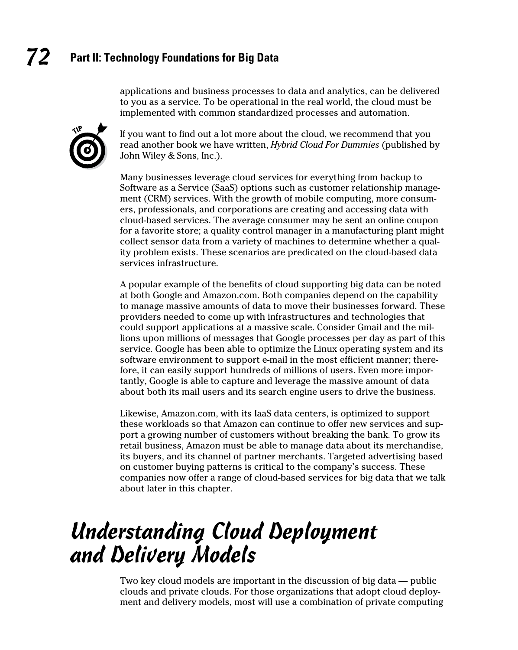applications and business processes to data and analytics, can be delivered to you as a service. To be operational in the real world, the cloud must be implemented with common standardized processes and automation.



If you want to find out a lot more about the cloud, we recommend that you read another book we have written, *Hybrid Cloud For Dummies* (published by John Wiley & Sons, Inc.).

Many businesses leverage cloud services for everything from backup to Software as a Service (SaaS) options such as customer relationship management (CRM) services. With the growth of mobile computing, more consumers, professionals, and corporations are creating and accessing data with cloud-based services. The average consumer may be sent an online coupon for a favorite store; a quality control manager in a manufacturing plant might collect sensor data from a variety of machines to determine whether a quality problem exists. These scenarios are predicated on the cloud-based data services infrastructure.

A popular example of the benefits of cloud supporting big data can be noted at both Google and Amazon.com. Both companies depend on the capability to manage massive amounts of data to move their businesses forward. These providers needed to come up with infrastructures and technologies that could support applications at a massive scale. Consider Gmail and the millions upon millions of messages that Google processes per day as part of this service. Google has been able to optimize the Linux operating system and its software environment to support e-mail in the most efficient manner; therefore, it can easily support hundreds of millions of users. Even more importantly, Google is able to capture and leverage the massive amount of data about both its mail users and its search engine users to drive the business.

Likewise, Amazon.com, with its IaaS data centers, is optimized to support these workloads so that Amazon can continue to offer new services and support a growing number of customers without breaking the bank. To grow its retail business, Amazon must be able to manage data about its merchandise, its buyers, and its channel of partner merchants. Targeted advertising based on customer buying patterns is critical to the company's success. These companies now offer a range of cloud-based services for big data that we talk about later in this chapter.

## Understanding Cloud Deployment and Delivery Models

Two key cloud models are important in the discussion of big data — public clouds and private clouds. For those organizations that adopt cloud deployment and delivery models, most will use a combination of private computing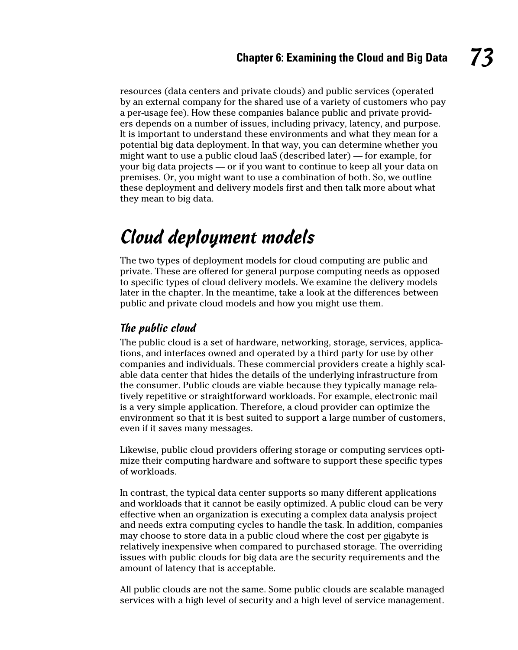resources (data centers and private clouds) and public services (operated by an external company for the shared use of a variety of customers who pay a per-usage fee). How these companies balance public and private providers depends on a number of issues, including privacy, latency, and purpose. It is important to understand these environments and what they mean for a potential big data deployment. In that way, you can determine whether you might want to use a public cloud IaaS (described later) — for example, for your big data projects — or if you want to continue to keep all your data on premises. Or, you might want to use a combination of both. So, we outline these deployment and delivery models first and then talk more about what they mean to big data.

### Cloud deployment models

The two types of deployment models for cloud computing are public and private. These are offered for general purpose computing needs as opposed to specific types of cloud delivery models. We examine the delivery models later in the chapter. In the meantime, take a look at the differences between public and private cloud models and how you might use them.

#### The public cloud

The public cloud is a set of hardware, networking, storage, services, applications, and interfaces owned and operated by a third party for use by other companies and individuals. These commercial providers create a highly scalable data center that hides the details of the underlying infrastructure from the consumer. Public clouds are viable because they typically manage relatively repetitive or straightforward workloads. For example, electronic mail is a very simple application. Therefore, a cloud provider can optimize the environment so that it is best suited to support a large number of customers, even if it saves many messages.

Likewise, public cloud providers offering storage or computing services optimize their computing hardware and software to support these specific types of workloads.

In contrast, the typical data center supports so many different applications and workloads that it cannot be easily optimized. A public cloud can be very effective when an organization is executing a complex data analysis project and needs extra computing cycles to handle the task. In addition, companies may choose to store data in a public cloud where the cost per gigabyte is relatively inexpensive when compared to purchased storage. The overriding issues with public clouds for big data are the security requirements and the amount of latency that is acceptable.

All public clouds are not the same. Some public clouds are scalable managed services with a high level of security and a high level of service management.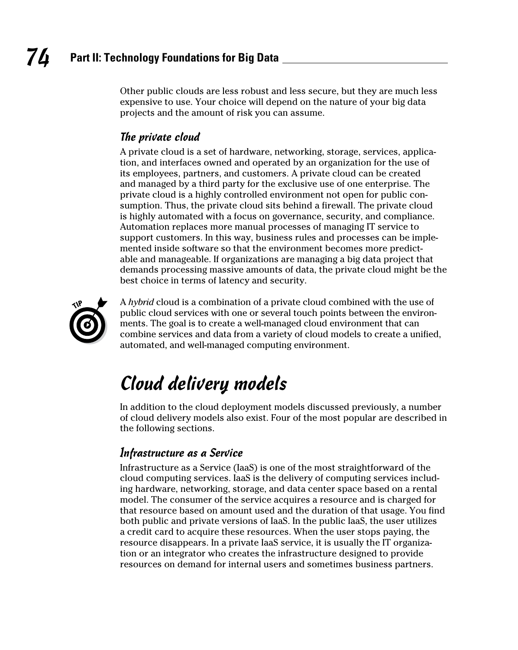Other public clouds are less robust and less secure, but they are much less expensive to use. Your choice will depend on the nature of your big data projects and the amount of risk you can assume.

#### The private cloud

A private cloud is a set of hardware, networking, storage, services, application, and interfaces owned and operated by an organization for the use of its employees, partners, and customers. A private cloud can be created and managed by a third party for the exclusive use of one enterprise. The private cloud is a highly controlled environment not open for public consumption. Thus, the private cloud sits behind a firewall. The private cloud is highly automated with a focus on governance, security, and compliance. Automation replaces more manual processes of managing IT service to support customers. In this way, business rules and processes can be implemented inside software so that the environment becomes more predictable and manageable. If organizations are managing a big data project that demands processing massive amounts of data, the private cloud might be the best choice in terms of latency and security.



A *hybrid* cloud is a combination of a private cloud combined with the use of public cloud services with one or several touch points between the environments. The goal is to create a well-managed cloud environment that can combine services and data from a variety of cloud models to create a unified, automated, and well-managed computing environment.

### Cloud delivery models

In addition to the cloud deployment models discussed previously, a number of cloud delivery models also exist. Four of the most popular are described in the following sections.

#### Infrastructure as a Service

Infrastructure as a Service (IaaS) is one of the most straightforward of the cloud computing services. IaaS is the delivery of computing services including hardware, networking, storage, and data center space based on a rental model. The consumer of the service acquires a resource and is charged for that resource based on amount used and the duration of that usage. You find both public and private versions of IaaS. In the public IaaS, the user utilizes a credit card to acquire these resources. When the user stops paying, the resource disappears. In a private IaaS service, it is usually the IT organization or an integrator who creates the infrastructure designed to provide resources on demand for internal users and sometimes business partners.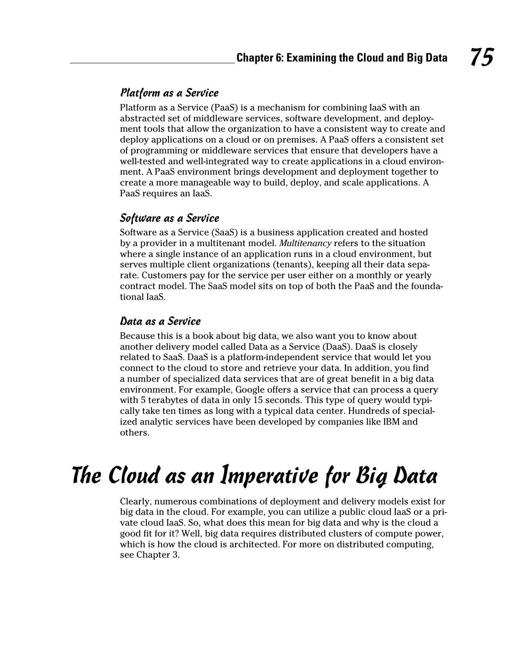#### Platform as a Service

Platform as a Service (PaaS) is a mechanism for combining IaaS with an abstracted set of middleware services, software development, and deployment tools that allow the organization to have a consistent way to create and deploy applications on a cloud or on premises. A PaaS offers a consistent set of programming or middleware services that ensure that developers have a well-tested and well-integrated way to create applications in a cloud environment. A PaaS environment brings development and deployment together to create a more manageable way to build, deploy, and scale applications. A PaaS requires an IaaS.

#### Software as a Service

Software as a Service (SaaS) is a business application created and hosted by a provider in a multitenant model. *Multitenancy* refers to the situation where a single instance of an application runs in a cloud environment, but serves multiple client organizations (tenants), keeping all their data separate. Customers pay for the service per user either on a monthly or yearly contract model. The SaaS model sits on top of both the PaaS and the foundational IaaS.

#### Data as a Service

Because this is a book about big data, we also want you to know about another delivery model called Data as a Service (DaaS). DaaS is closely related to SaaS. DaaS is a platform-independent service that would let you connect to the cloud to store and retrieve your data. In addition, you find a number of specialized data services that are of great benefit in a big data environment. For example, Google offers a service that can process a query with 5 terabytes of data in only 15 seconds. This type of query would typically take ten times as long with a typical data center. Hundreds of specialized analytic services have been developed by companies like IBM and others.

## The Cloud as an Imperative for Big Data

Clearly, numerous combinations of deployment and delivery models exist for big data in the cloud. For example, you can utilize a public cloud IaaS or a private cloud IaaS. So, what does this mean for big data and why is the cloud a good fit for it? Well, big data requires distributed clusters of compute power, which is how the cloud is architected. For more on distributed computing, see Chapter 3.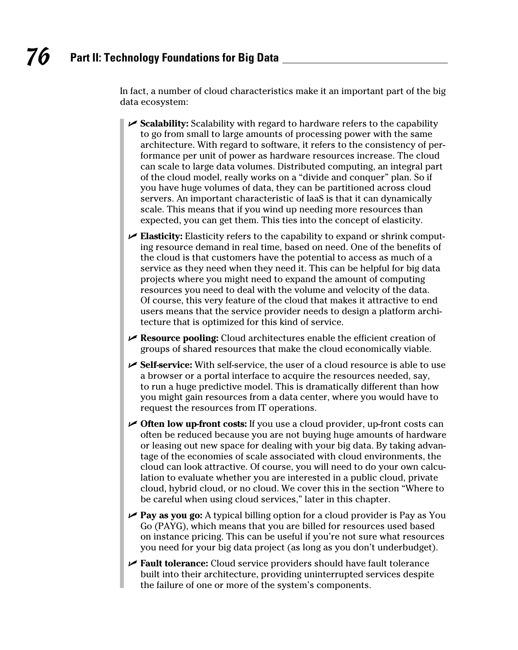In fact, a number of cloud characteristics make it an important part of the big data ecosystem:

- ✓ **Scalability:** Scalability with regard to hardware refers to the capability to go from small to large amounts of processing power with the same architecture. With regard to software, it refers to the consistency of performance per unit of power as hardware resources increase. The cloud can scale to large data volumes. Distributed computing, an integral part of the cloud model, really works on a "divide and conquer" plan. So if you have huge volumes of data, they can be partitioned across cloud servers. An important characteristic of IaaS is that it can dynamically scale. This means that if you wind up needing more resources than expected, you can get them. This ties into the concept of elasticity.
- ✓ **Elasticity:** Elasticity refers to the capability to expand or shrink computing resource demand in real time, based on need. One of the benefits of the cloud is that customers have the potential to access as much of a service as they need when they need it. This can be helpful for big data projects where you might need to expand the amount of computing resources you need to deal with the volume and velocity of the data. Of course, this very feature of the cloud that makes it attractive to end users means that the service provider needs to design a platform architecture that is optimized for this kind of service.
- ✓ **Resource pooling:** Cloud architectures enable the efficient creation of groups of shared resources that make the cloud economically viable.
- ✓ **Self-service:** With self-service, the user of a cloud resource is able to use a browser or a portal interface to acquire the resources needed, say, to run a huge predictive model. This is dramatically different than how you might gain resources from a data center, where you would have to request the resources from IT operations.
- $\blacktriangleright$  **Often low up-front costs:** If you use a cloud provider, up-front costs can often be reduced because you are not buying huge amounts of hardware or leasing out new space for dealing with your big data. By taking advantage of the economies of scale associated with cloud environments, the cloud can look attractive. Of course, you will need to do your own calculation to evaluate whether you are interested in a public cloud, private cloud, hybrid cloud, or no cloud. We cover this in the section "Where to be careful when using cloud services," later in this chapter.
- ✓ **Pay as you go:** A typical billing option for a cloud provider is Pay as You Go (PAYG), which means that you are billed for resources used based on instance pricing. This can be useful if you're not sure what resources you need for your big data project (as long as you don't underbudget).
- ✓ **Fault tolerance:** Cloud service providers should have fault tolerance built into their architecture, providing uninterrupted services despite the failure of one or more of the system's components.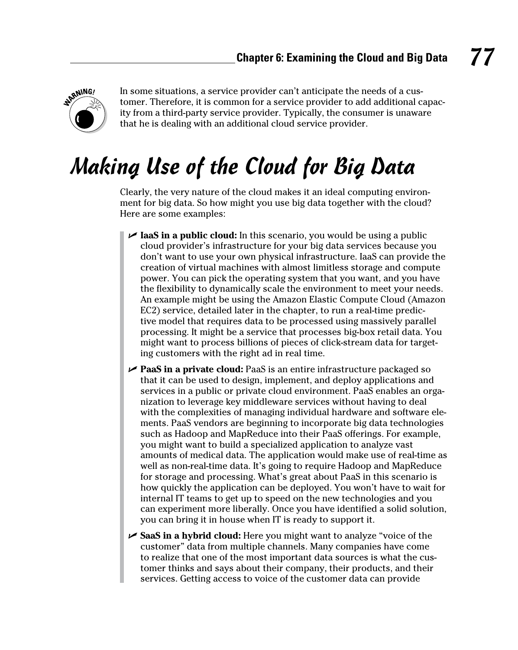

In some situations, a service provider can't anticipate the needs of a customer. Therefore, it is common for a service provider to add additional capacity from a third-party service provider. Typically, the consumer is unaware that he is dealing with an additional cloud service provider.

## Making Use of the Cloud for Big Data

Clearly, the very nature of the cloud makes it an ideal computing environment for big data. So how might you use big data together with the cloud? Here are some examples:

- ✓ **IaaS in a public cloud:** In this scenario, you would be using a public cloud provider's infrastructure for your big data services because you don't want to use your own physical infrastructure. IaaS can provide the creation of virtual machines with almost limitless storage and compute power. You can pick the operating system that you want, and you have the flexibility to dynamically scale the environment to meet your needs. An example might be using the Amazon Elastic Compute Cloud (Amazon EC2) service, detailed later in the chapter, to run a real-time predictive model that requires data to be processed using massively parallel processing. It might be a service that processes big-box retail data. You might want to process billions of pieces of click-stream data for targeting customers with the right ad in real time.
- ✓ **PaaS in a private cloud:** PaaS is an entire infrastructure packaged so that it can be used to design, implement, and deploy applications and services in a public or private cloud environment. PaaS enables an organization to leverage key middleware services without having to deal with the complexities of managing individual hardware and software elements. PaaS vendors are beginning to incorporate big data technologies such as Hadoop and MapReduce into their PaaS offerings. For example, you might want to build a specialized application to analyze vast amounts of medical data. The application would make use of real-time as well as non-real-time data. It's going to require Hadoop and MapReduce for storage and processing. What's great about PaaS in this scenario is how quickly the application can be deployed. You won't have to wait for internal IT teams to get up to speed on the new technologies and you can experiment more liberally. Once you have identified a solid solution, you can bring it in house when IT is ready to support it.
- ✓ **SaaS in a hybrid cloud:** Here you might want to analyze "voice of the customer" data from multiple channels. Many companies have come to realize that one of the most important data sources is what the customer thinks and says about their company, their products, and their services. Getting access to voice of the customer data can provide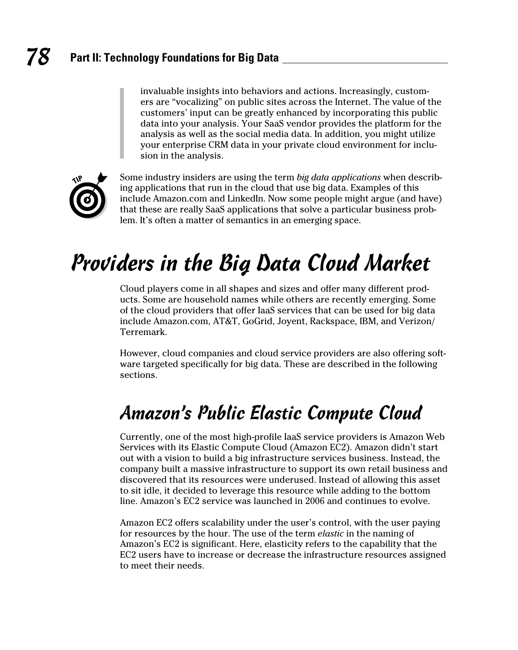invaluable insights into behaviors and actions. Increasingly, customers are "vocalizing" on public sites across the Internet. The value of the customers' input can be greatly enhanced by incorporating this public data into your analysis. Your SaaS vendor provides the platform for the analysis as well as the social media data. In addition, you might utilize your enterprise CRM data in your private cloud environment for inclusion in the analysis.



Some industry insiders are using the term *big data applications* when describing applications that run in the cloud that use big data. Examples of this include Amazon.com and LinkedIn. Now some people might argue (and have) that these are really SaaS applications that solve a particular business problem. It's often a matter of semantics in an emerging space.

## Providers in the Big Data Cloud Market

Cloud players come in all shapes and sizes and offer many different products. Some are household names while others are recently emerging. Some of the cloud providers that offer IaaS services that can be used for big data include Amazon.com, AT&T, GoGrid, Joyent, Rackspace, IBM, and Verizon/ Terremark.

However, cloud companies and cloud service providers are also offering software targeted specifically for big data. These are described in the following sections.

## Amazon's Public Elastic Compute Cloud

Currently, one of the most high-profile IaaS service providers is Amazon Web Services with its Elastic Compute Cloud (Amazon EC2). Amazon didn't start out with a vision to build a big infrastructure services business. Instead, the company built a massive infrastructure to support its own retail business and discovered that its resources were underused. Instead of allowing this asset to sit idle, it decided to leverage this resource while adding to the bottom line. Amazon's EC2 service was launched in 2006 and continues to evolve.

Amazon EC2 offers scalability under the user's control, with the user paying for resources by the hour. The use of the term *elastic* in the naming of Amazon's EC2 is significant. Here, elasticity refers to the capability that the EC2 users have to increase or decrease the infrastructure resources assigned to meet their needs.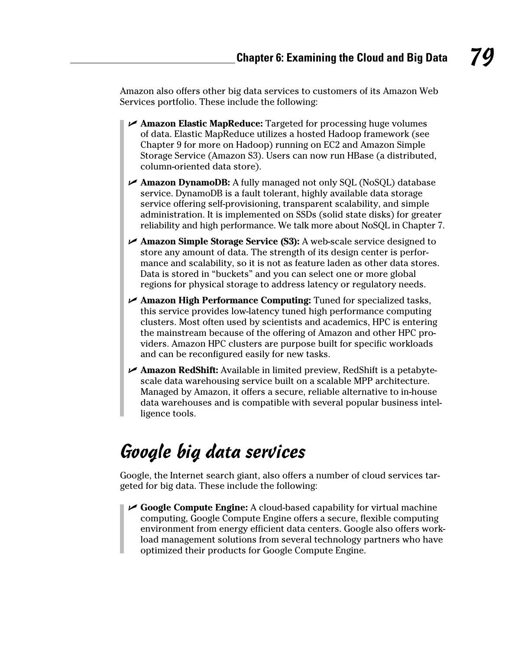Amazon also offers other big data services to customers of its Amazon Web Services portfolio. These include the following:

- ✓ **Amazon Elastic MapReduce:** Targeted for processing huge volumes of data. Elastic MapReduce utilizes a hosted Hadoop framework (see Chapter 9 for more on Hadoop) running on EC2 and Amazon Simple Storage Service (Amazon S3). Users can now run HBase (a distributed, column-oriented data store).
- ✓ **Amazon DynamoDB:** A fully managed not only SQL (NoSQL) database service. DynamoDB is a fault tolerant, highly available data storage service offering self-provisioning, transparent scalability, and simple administration. It is implemented on SSDs (solid state disks) for greater reliability and high performance. We talk more about NoSQL in Chapter 7.
- ✓ **Amazon Simple Storage Service (S3):** A web-scale service designed to store any amount of data. The strength of its design center is performance and scalability, so it is not as feature laden as other data stores. Data is stored in "buckets" and you can select one or more global regions for physical storage to address latency or regulatory needs.
- ✓ **Amazon High Performance Computing:** Tuned for specialized tasks, this service provides low-latency tuned high performance computing clusters. Most often used by scientists and academics, HPC is entering the mainstream because of the offering of Amazon and other HPC providers. Amazon HPC clusters are purpose built for specific workloads and can be reconfigured easily for new tasks.
- ✓ **Amazon RedShift:** Available in limited preview, RedShift is a petabytescale data warehousing service built on a scalable MPP architecture. Managed by Amazon, it offers a secure, reliable alternative to in-house data warehouses and is compatible with several popular business intelligence tools.

### Google big data services

Google, the Internet search giant, also offers a number of cloud services targeted for big data. These include the following:

✓ **Google Compute Engine:** A cloud-based capability for virtual machine computing, Google Compute Engine offers a secure, flexible computing environment from energy efficient data centers. Google also offers workload management solutions from several technology partners who have optimized their products for Google Compute Engine.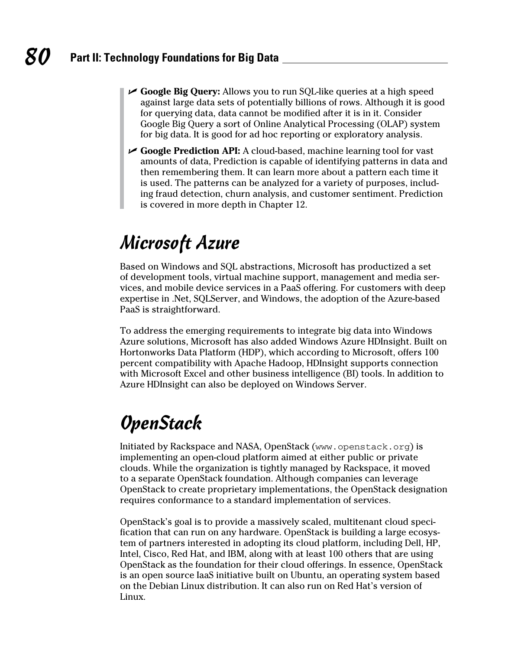- ✓ **Google Big Query:** Allows you to run SQL-like queries at a high speed against large data sets of potentially billions of rows. Although it is good for querying data, data cannot be modified after it is in it. Consider Google Big Query a sort of Online Analytical Processing (OLAP) system for big data. It is good for ad hoc reporting or exploratory analysis.
- ✓ **Google Prediction API:** A cloud-based, machine learning tool for vast amounts of data, Prediction is capable of identifying patterns in data and then remembering them. It can learn more about a pattern each time it is used. The patterns can be analyzed for a variety of purposes, including fraud detection, churn analysis, and customer sentiment. Prediction is covered in more depth in Chapter 12.

## Microsoft Azure

Based on Windows and SQL abstractions, Microsoft has productized a set of development tools, virtual machine support, management and media services, and mobile device services in a PaaS offering. For customers with deep expertise in .Net, SQLServer, and Windows, the adoption of the Azure-based PaaS is straightforward.

To address the emerging requirements to integrate big data into Windows Azure solutions, Microsoft has also added Windows Azure HDInsight. Built on Hortonworks Data Platform (HDP), which according to Microsoft, offers 100 percent compatibility with Apache Hadoop, HDInsight supports connection with Microsoft Excel and other business intelligence (BI) tools. In addition to Azure HDInsight can also be deployed on Windows Server.

## OpenStack

Initiated by Rackspace and NASA, OpenStack ([www.openstack.org](http://www.openstack.org)) is implementing an open-cloud platform aimed at either public or private clouds. While the organization is tightly managed by Rackspace, it moved to a separate OpenStack foundation. Although companies can leverage OpenStack to create proprietary implementations, the OpenStack designation requires conformance to a standard implementation of services.

OpenStack's goal is to provide a massively scaled, multitenant cloud specification that can run on any hardware. OpenStack is building a large ecosystem of partners interested in adopting its cloud platform, including Dell, HP, Intel, Cisco, Red Hat, and IBM, along with at least 100 others that are using OpenStack as the foundation for their cloud offerings. In essence, OpenStack is an open source IaaS initiative built on Ubuntu, an operating system based on the Debian Linux distribution. It can also run on Red Hat's version of Linux.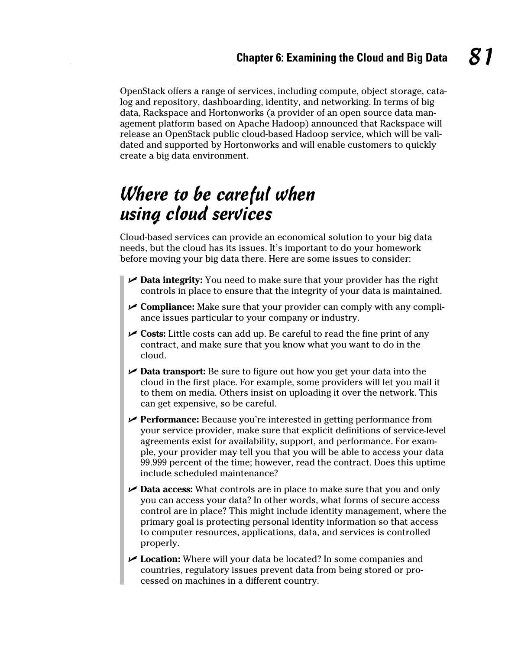OpenStack offers a range of services, including compute, object storage, catalog and repository, dashboarding, identity, and networking. In terms of big data, Rackspace and Hortonworks (a provider of an open source data management platform based on Apache Hadoop) announced that Rackspace will release an OpenStack public cloud-based Hadoop service, which will be validated and supported by Hortonworks and will enable customers to quickly create a big data environment.

### Where to be careful when using cloud services

Cloud-based services can provide an economical solution to your big data needs, but the cloud has its issues. It's important to do your homework before moving your big data there. Here are some issues to consider:

- ✓ **Data integrity:** You need to make sure that your provider has the right controls in place to ensure that the integrity of your data is maintained.
- ✓ **Compliance:** Make sure that your provider can comply with any compliance issues particular to your company or industry.
- ✓ **Costs:** Little costs can add up. Be careful to read the fine print of any contract, and make sure that you know what you want to do in the cloud.
- ✓ **Data transport:** Be sure to figure out how you get your data into the cloud in the first place. For example, some providers will let you mail it to them on media. Others insist on uploading it over the network. This can get expensive, so be careful.
- ✓ **Performance:** Because you're interested in getting performance from your service provider, make sure that explicit definitions of service-level agreements exist for availability, support, and performance. For example, your provider may tell you that you will be able to access your data 99.999 percent of the time; however, read the contract. Does this uptime include scheduled maintenance?
- ✓ **Data access:** What controls are in place to make sure that you and only you can access your data? In other words, what forms of secure access control are in place? This might include identity management, where the primary goal is protecting personal identity information so that access to computer resources, applications, data, and services is controlled properly.
- ✓ **Location:** Where will your data be located? In some companies and countries, regulatory issues prevent data from being stored or processed on machines in a different country.